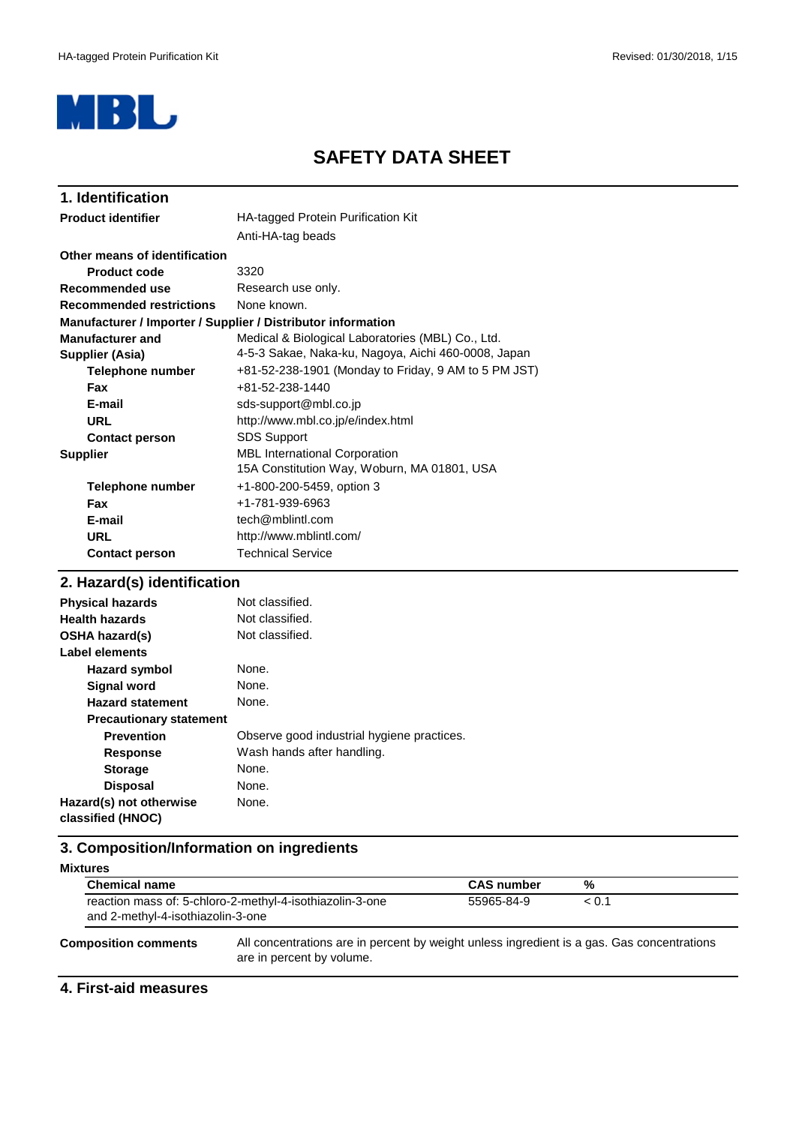

## **SAFETY DATA SHEET**

| 1. Identification               |                                                              |  |
|---------------------------------|--------------------------------------------------------------|--|
| <b>Product identifier</b>       | HA-tagged Protein Purification Kit                           |  |
|                                 | Anti-HA-tag beads                                            |  |
| Other means of identification   |                                                              |  |
| <b>Product code</b>             | 3320                                                         |  |
| Recommended use                 | Research use only.                                           |  |
| <b>Recommended restrictions</b> | None known.                                                  |  |
|                                 | Manufacturer / Importer / Supplier / Distributor information |  |
| <b>Manufacturer and</b>         | Medical & Biological Laboratories (MBL) Co., Ltd.            |  |
| Supplier (Asia)                 | 4-5-3 Sakae, Naka-ku, Nagoya, Aichi 460-0008, Japan          |  |
| Telephone number                | +81-52-238-1901 (Monday to Friday, 9 AM to 5 PM JST)         |  |
| <b>Fax</b>                      | +81-52-238-1440                                              |  |
| E-mail                          | sds-support@mbl.co.jp                                        |  |
| URL                             | http://www.mbl.co.jp/e/index.html                            |  |
| <b>Contact person</b>           | <b>SDS Support</b>                                           |  |
| <b>Supplier</b>                 | <b>MBL International Corporation</b>                         |  |
|                                 | 15A Constitution Way, Woburn, MA 01801, USA                  |  |
| Telephone number                | +1-800-200-5459, option 3                                    |  |
| <b>Fax</b>                      | +1-781-939-6963                                              |  |
| E-mail                          | tech@mblintl.com                                             |  |
| <b>URL</b>                      | http://www.mblintl.com/                                      |  |
| <b>Contact person</b>           | <b>Technical Service</b>                                     |  |

## **2. Hazard(s) identification**

| <b>Physical hazards</b>                      | Not classified.                            |
|----------------------------------------------|--------------------------------------------|
| <b>Health hazards</b>                        | Not classified.                            |
| <b>OSHA hazard(s)</b>                        | Not classified.                            |
| Label elements                               |                                            |
| <b>Hazard symbol</b>                         | None.                                      |
| Signal word                                  | None.                                      |
| <b>Hazard statement</b>                      | None.                                      |
| <b>Precautionary statement</b>               |                                            |
| <b>Prevention</b>                            | Observe good industrial hygiene practices. |
| <b>Response</b>                              | Wash hands after handling.                 |
| <b>Storage</b>                               | None.                                      |
| <b>Disposal</b>                              | None.                                      |
| Hazard(s) not otherwise<br>classified (HNOC) | None.                                      |

## **3. Composition/Information on ingredients**

| <b>Mixtures</b>                                                                                                                                        |  |                   |            |  |
|--------------------------------------------------------------------------------------------------------------------------------------------------------|--|-------------------|------------|--|
| <b>Chemical name</b><br>reaction mass of: 5-chloro-2-methyl-4-isothiazolin-3-one<br>and 2-methyl-4-isothiazolin-3-one                                  |  | <b>CAS number</b> | %<br>< 0.1 |  |
|                                                                                                                                                        |  | 55965-84-9        |            |  |
| All concentrations are in percent by weight unless ingredient is a gas. Gas concentrations<br><b>Composition comments</b><br>are in percent by volume. |  |                   |            |  |

#### **4. First-aid measures**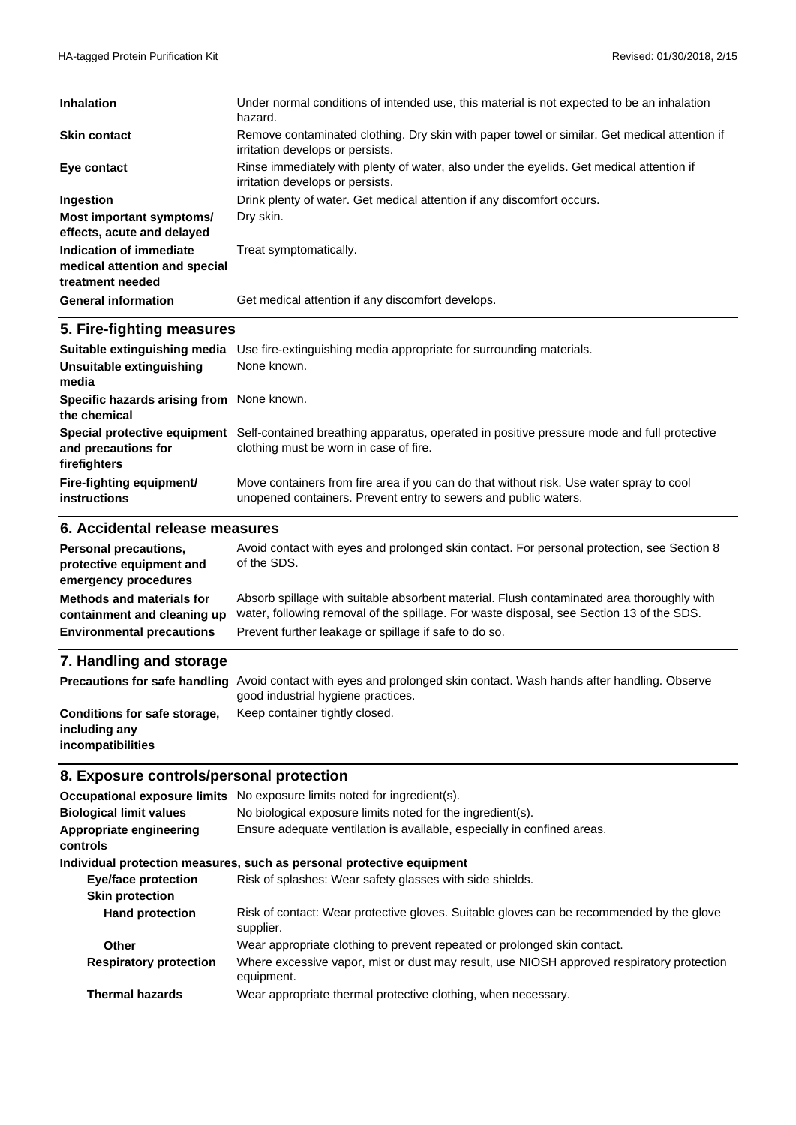| <b>Inhalation</b>                                                            | Under normal conditions of intended use, this material is not expected to be an inhalation<br>hazard.                            |
|------------------------------------------------------------------------------|----------------------------------------------------------------------------------------------------------------------------------|
| <b>Skin contact</b>                                                          | Remove contaminated clothing. Dry skin with paper towel or similar. Get medical attention if<br>irritation develops or persists. |
| Eye contact                                                                  | Rinse immediately with plenty of water, also under the eyelids. Get medical attention if<br>irritation develops or persists.     |
| <b>Ingestion</b>                                                             | Drink plenty of water. Get medical attention if any discomfort occurs.                                                           |
| Most important symptoms/<br>effects, acute and delayed                       | Dry skin.                                                                                                                        |
| Indication of immediate<br>medical attention and special<br>treatment needed | Treat symptomatically.                                                                                                           |
| <b>General information</b>                                                   | Get medical attention if any discomfort develops.                                                                                |

### **5. Fire-fighting measures**

| Suitable extinguishing media                                        | Use fire-extinguishing media appropriate for surrounding materials.                                                                                        |  |
|---------------------------------------------------------------------|------------------------------------------------------------------------------------------------------------------------------------------------------------|--|
| Unsuitable extinguishing<br>media                                   | None known.                                                                                                                                                |  |
| Specific hazards arising from None known.<br>the chemical           |                                                                                                                                                            |  |
| Special protective equipment<br>and precautions for<br>firefighters | Self-contained breathing apparatus, operated in positive pressure mode and full protective<br>clothing must be worn in case of fire.                       |  |
| Fire-fighting equipment/<br><b>instructions</b>                     | Move containers from fire area if you can do that without risk. Use water spray to cool<br>unopened containers. Prevent entry to sewers and public waters. |  |

#### **6. Accidental release measures**

| Personal precautions,<br>protective equipment and<br>emergency procedures                    | Avoid contact with eyes and prolonged skin contact. For personal protection, see Section 8<br>of the SDS.                                                                                                                                      |
|----------------------------------------------------------------------------------------------|------------------------------------------------------------------------------------------------------------------------------------------------------------------------------------------------------------------------------------------------|
| Methods and materials for<br>containment and cleaning up<br><b>Environmental precautions</b> | Absorb spillage with suitable absorbent material. Flush contaminated area thoroughly with<br>water, following removal of the spillage. For waste disposal, see Section 13 of the SDS.<br>Prevent further leakage or spillage if safe to do so. |
| 7. Handling and storage                                                                      |                                                                                                                                                                                                                                                |
| <b>Precautions for safe handling</b>                                                         | Avoid contact with eyes and prolonged skin contact. Wash hands after handling. Observe<br>good industrial hygiene practices.                                                                                                                   |
| Conditions for safe storage,<br>including any                                                | Keep container tightly closed.                                                                                                                                                                                                                 |

## **8. Exposure controls/personal protection**

**incompatibilities**

| Occupational exposure limits   | No exposure limits noted for ingredient(s).                                                             |  |
|--------------------------------|---------------------------------------------------------------------------------------------------------|--|
| <b>Biological limit values</b> | No biological exposure limits noted for the ingredient(s).                                              |  |
| Appropriate engineering        | Ensure adequate ventilation is available, especially in confined areas.                                 |  |
| controls                       |                                                                                                         |  |
|                                | Individual protection measures, such as personal protective equipment                                   |  |
| <b>Eye/face protection</b>     | Risk of splashes: Wear safety glasses with side shields.                                                |  |
| <b>Skin protection</b>         |                                                                                                         |  |
| <b>Hand protection</b>         | Risk of contact: Wear protective gloves. Suitable gloves can be recommended by the glove<br>supplier.   |  |
| Other                          | Wear appropriate clothing to prevent repeated or prolonged skin contact.                                |  |
| <b>Respiratory protection</b>  | Where excessive vapor, mist or dust may result, use NIOSH approved respiratory protection<br>equipment. |  |
| <b>Thermal hazards</b>         | Wear appropriate thermal protective clothing, when necessary.                                           |  |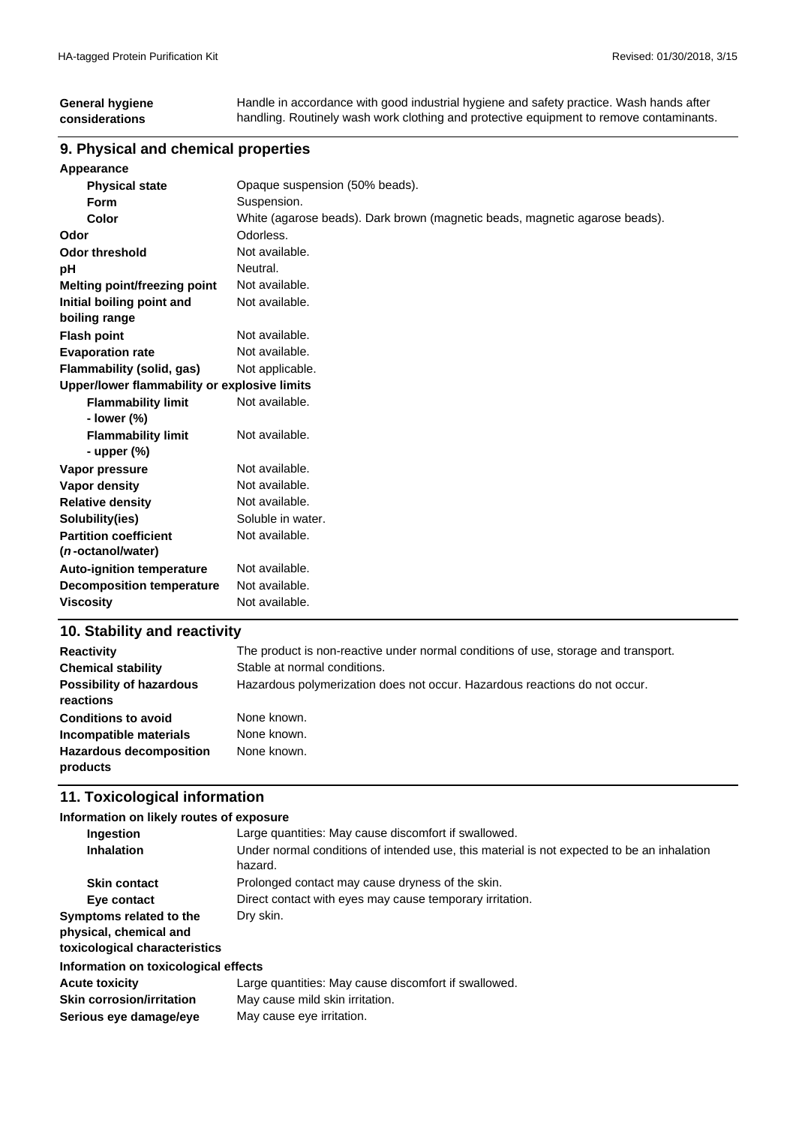#### **General hygiene considerations** Handle in accordance with good industrial hygiene and safety practice. Wash hands after handling. Routinely wash work clothing and protective equipment to remove contaminants.

#### **9. Physical and chemical properties**

| Appearance                                   |                                                                             |  |  |
|----------------------------------------------|-----------------------------------------------------------------------------|--|--|
| <b>Physical state</b>                        | Opaque suspension (50% beads).                                              |  |  |
| <b>Form</b>                                  | Suspension.                                                                 |  |  |
| Color                                        | White (agarose beads). Dark brown (magnetic beads, magnetic agarose beads). |  |  |
| Odor                                         | Odorless.                                                                   |  |  |
| <b>Odor threshold</b>                        | Not available.                                                              |  |  |
| рH                                           | Neutral.                                                                    |  |  |
| <b>Melting point/freezing point</b>          | Not available.                                                              |  |  |
| Initial boiling point and                    | Not available.                                                              |  |  |
| boiling range                                |                                                                             |  |  |
| <b>Flash point</b>                           | Not available.                                                              |  |  |
| <b>Evaporation rate</b>                      | Not available.                                                              |  |  |
| <b>Flammability (solid, gas)</b>             | Not applicable.                                                             |  |  |
| Upper/lower flammability or explosive limits |                                                                             |  |  |
| <b>Flammability limit</b>                    | Not available.                                                              |  |  |
| - lower (%)                                  |                                                                             |  |  |
| <b>Flammability limit</b>                    | Not available.                                                              |  |  |
| - upper $(\%)$                               |                                                                             |  |  |
| Vapor pressure                               | Not available.                                                              |  |  |
| <b>Vapor density</b>                         | Not available.                                                              |  |  |
| <b>Relative density</b>                      | Not available.                                                              |  |  |
| Solubility(ies)                              | Soluble in water.                                                           |  |  |
| <b>Partition coefficient</b>                 | Not available.                                                              |  |  |
| ( <i>n</i> -octanol/water)                   |                                                                             |  |  |
| <b>Auto-ignition temperature</b>             | Not available.                                                              |  |  |
| <b>Decomposition temperature</b>             | Not available.                                                              |  |  |
| <b>Viscosity</b>                             | Not available.                                                              |  |  |
|                                              |                                                                             |  |  |

## **10. Stability and reactivity**

| <b>Reactivity</b>                            | The product is non-reactive under normal conditions of use, storage and transport. |
|----------------------------------------------|------------------------------------------------------------------------------------|
| <b>Chemical stability</b>                    | Stable at normal conditions.                                                       |
| <b>Possibility of hazardous</b><br>reactions | Hazardous polymerization does not occur. Hazardous reactions do not occur.         |
| <b>Conditions to avoid</b>                   | None known.                                                                        |
| Incompatible materials                       | None known.                                                                        |
| <b>Hazardous decomposition</b><br>products   | None known.                                                                        |

#### **11. Toxicological information**

| Information on likely routes of exposure                                           |                                                                                                       |  |  |
|------------------------------------------------------------------------------------|-------------------------------------------------------------------------------------------------------|--|--|
| Ingestion                                                                          | Large quantities: May cause discomfort if swallowed.                                                  |  |  |
| <b>Inhalation</b>                                                                  | Under normal conditions of intended use, this material is not expected to be an inhalation<br>hazard. |  |  |
| <b>Skin contact</b>                                                                | Prolonged contact may cause dryness of the skin.                                                      |  |  |
| Eye contact                                                                        | Direct contact with eyes may cause temporary irritation.                                              |  |  |
| Symptoms related to the<br>physical, chemical and<br>toxicological characteristics | Dry skin.                                                                                             |  |  |
| Information on toxicological effects                                               |                                                                                                       |  |  |
| <b>Acute toxicity</b>                                                              | Large quantities: May cause discomfort if swallowed.                                                  |  |  |
| <b>Skin corrosion/irritation</b>                                                   | May cause mild skin irritation.                                                                       |  |  |
| Serious eye damage/eye                                                             | May cause eye irritation.                                                                             |  |  |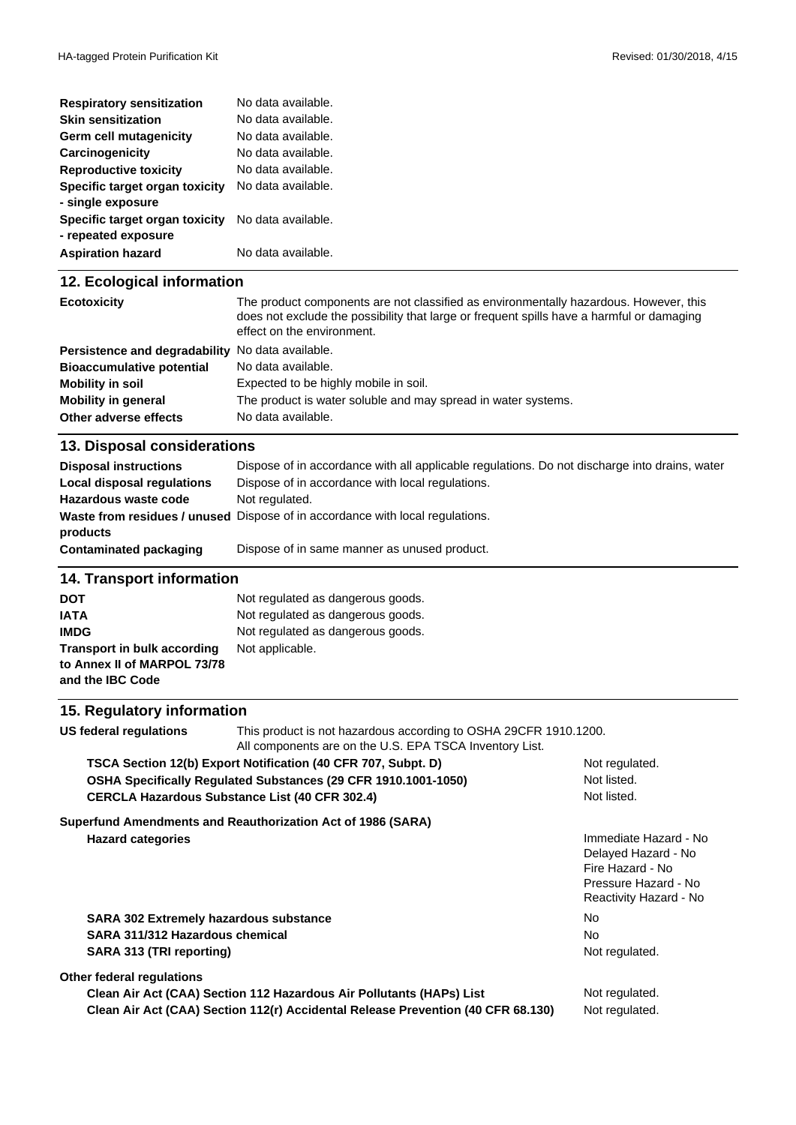| <b>Respiratory sensitization</b>                      | No data available. |
|-------------------------------------------------------|--------------------|
| <b>Skin sensitization</b>                             | No data available. |
| Germ cell mutagenicity                                | No data available. |
| Carcinogenicity                                       | No data available. |
| <b>Reproductive toxicity</b>                          | No data available. |
| Specific target organ toxicity<br>- single exposure   | No data available. |
| Specific target organ toxicity<br>- repeated exposure | No data available. |
| <b>Aspiration hazard</b>                              | No data available. |

### **12. Ecological information**

| <b>Ecotoxicity</b>                                      | The product components are not classified as environmentally hazardous. However, this<br>does not exclude the possibility that large or frequent spills have a harmful or damaging<br>effect on the environment. |
|---------------------------------------------------------|------------------------------------------------------------------------------------------------------------------------------------------------------------------------------------------------------------------|
| <b>Persistence and degradability</b> No data available. |                                                                                                                                                                                                                  |
| <b>Bioaccumulative potential</b>                        | No data available.                                                                                                                                                                                               |
| Mobility in soil                                        | Expected to be highly mobile in soil.                                                                                                                                                                            |
| <b>Mobility in general</b>                              | The product is water soluble and may spread in water systems.                                                                                                                                                    |
| Other adverse effects                                   | No data available.                                                                                                                                                                                               |

### **13. Disposal considerations**

| <b>Disposal instructions</b> | Dispose of in accordance with all applicable regulations. Do not discharge into drains, water |
|------------------------------|-----------------------------------------------------------------------------------------------|
| Local disposal regulations   | Dispose of in accordance with local regulations.                                              |
| Hazardous waste code         | Not regulated.                                                                                |
|                              | Waste from residues / unused Dispose of in accordance with local regulations.                 |
| products                     |                                                                                               |
| Contaminated packaging       | Dispose of in same manner as unused product.                                                  |

### **14. Transport information**

| DOT                                                                            | Not regulated as dangerous goods. |
|--------------------------------------------------------------------------------|-----------------------------------|
| <b>IATA</b>                                                                    | Not regulated as dangerous goods. |
| <b>IMDG</b>                                                                    | Not regulated as dangerous goods. |
| Transport in bulk according<br>to Annex II of MARPOL 73/78<br>and the IBC Code | Not applicable.                   |

## **15. Regulatory information**

| US federal regulations                        | This product is not hazardous according to OSHA 29CFR 1910.1200.<br>All components are on the U.S. EPA TSCA Inventory List. |                                                                                                                    |
|-----------------------------------------------|-----------------------------------------------------------------------------------------------------------------------------|--------------------------------------------------------------------------------------------------------------------|
|                                               | TSCA Section 12(b) Export Notification (40 CFR 707, Subpt. D)                                                               | Not regulated.                                                                                                     |
|                                               | OSHA Specifically Regulated Substances (29 CFR 1910.1001-1050)                                                              | Not listed.                                                                                                        |
|                                               | <b>CERCLA Hazardous Substance List (40 CFR 302.4)</b>                                                                       | Not listed.                                                                                                        |
|                                               | Superfund Amendments and Reauthorization Act of 1986 (SARA)                                                                 |                                                                                                                    |
| <b>Hazard categories</b>                      |                                                                                                                             | Immediate Hazard - No<br>Delayed Hazard - No<br>Fire Hazard - No<br>Pressure Hazard - No<br>Reactivity Hazard - No |
| <b>SARA 302 Extremely hazardous substance</b> |                                                                                                                             | No.                                                                                                                |
| SARA 311/312 Hazardous chemical               |                                                                                                                             | No.                                                                                                                |
| SARA 313 (TRI reporting)                      |                                                                                                                             | Not regulated.                                                                                                     |
| Other federal regulations                     |                                                                                                                             |                                                                                                                    |
|                                               | Clean Air Act (CAA) Section 112 Hazardous Air Pollutants (HAPs) List                                                        | Not regulated.                                                                                                     |
|                                               | Clean Air Act (CAA) Section 112(r) Accidental Release Prevention (40 CFR 68.130)                                            | Not regulated.                                                                                                     |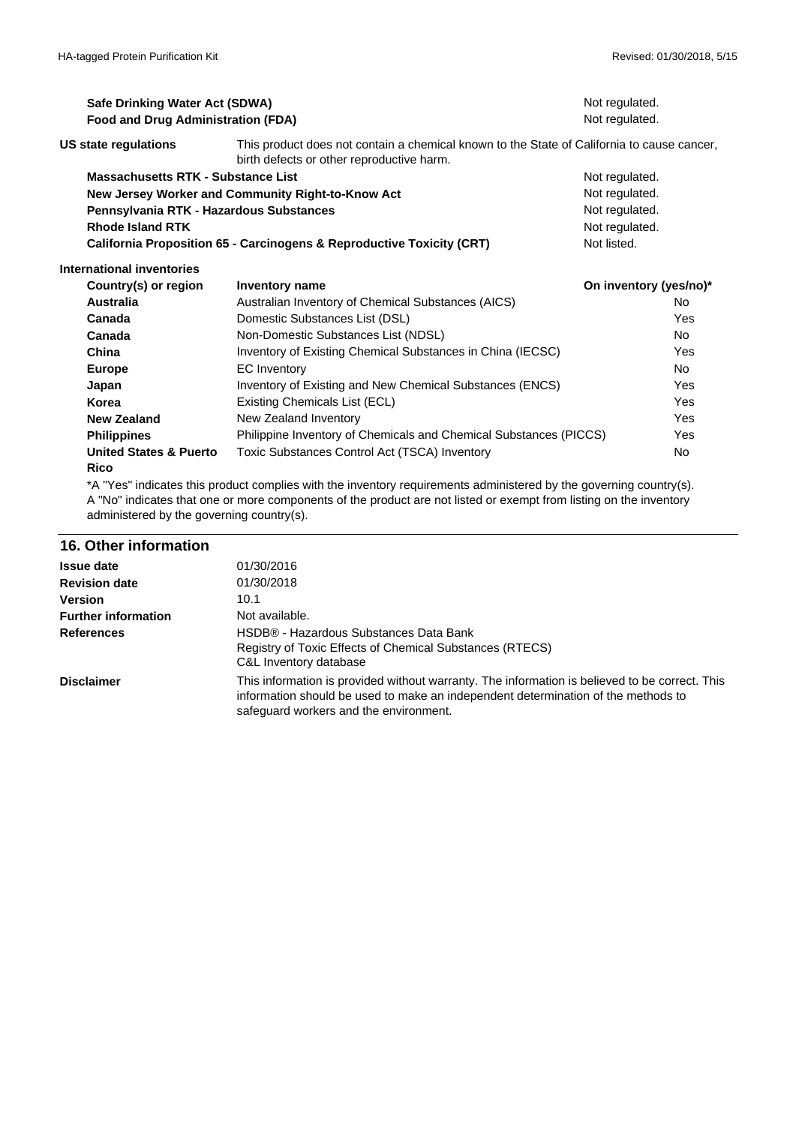| Safe Drinking Water Act (SDWA)<br>Food and Drug Administration (FDA) |                                                                                                                                         | Not regulated.<br>Not regulated. |                |
|----------------------------------------------------------------------|-----------------------------------------------------------------------------------------------------------------------------------------|----------------------------------|----------------|
| <b>US state regulations</b>                                          | This product does not contain a chemical known to the State of California to cause cancer.<br>birth defects or other reproductive harm. |                                  |                |
| Massachusetts RTK - Substance List                                   |                                                                                                                                         | Not regulated.                   |                |
|                                                                      | New Jersey Worker and Community Right-to-Know Act                                                                                       | Not regulated.                   |                |
| Pennsylvania RTK - Hazardous Substances                              |                                                                                                                                         | Not regulated.                   |                |
| <b>Rhode Island RTK</b>                                              |                                                                                                                                         | Not regulated.                   |                |
|                                                                      | <b>California Proposition 65 - Carcinogens &amp; Reproductive Toxicity (CRT)</b>                                                        | Not listed.                      |                |
| International inventories                                            |                                                                                                                                         |                                  |                |
| Country(s) or region                                                 | <b>Inventory name</b>                                                                                                                   | On inventory (yes/no)*           |                |
| <b>Australia</b>                                                     | Australian Inventory of Chemical Substances (AICS)                                                                                      |                                  | No.            |
| Canada                                                               | Domestic Substances List (DSL)                                                                                                          |                                  | Yes            |
| Canada                                                               | Non-Domestic Substances List (NDSL)                                                                                                     |                                  | No.            |
| China                                                                | Inventory of Existing Chemical Substances in China (IECSC)                                                                              |                                  | Yes            |
| <b>Europe</b>                                                        | <b>EC</b> Inventory                                                                                                                     |                                  | N <sub>o</sub> |
| Japan                                                                | Inventory of Existing and New Chemical Substances (ENCS)                                                                                |                                  | Yes            |
| Korea                                                                | Existing Chemicals List (ECL)                                                                                                           |                                  | Yes            |
| <b>New Zealand</b>                                                   | New Zealand Inventory                                                                                                                   |                                  | Yes            |
| <b>Philippines</b>                                                   | Philippine Inventory of Chemicals and Chemical Substances (PICCS)                                                                       |                                  | Yes            |
| <b>United States &amp; Puerto</b><br><b>Rico</b>                     | Toxic Substances Control Act (TSCA) Inventory                                                                                           |                                  | <b>No</b>      |

\*A "Yes" indicates this product complies with the inventory requirements administered by the governing country(s). A "No" indicates that one or more components of the product are not listed or exempt from listing on the inventory administered by the governing country(s).

#### **16. Other information**

| <b>Issue date</b>          | 01/30/2016                                                                                                                                                                                                                    |
|----------------------------|-------------------------------------------------------------------------------------------------------------------------------------------------------------------------------------------------------------------------------|
| <b>Revision date</b>       | 01/30/2018                                                                                                                                                                                                                    |
| <b>Version</b>             | 10.1                                                                                                                                                                                                                          |
| <b>Further information</b> | Not available.                                                                                                                                                                                                                |
| <b>References</b>          | HSDB® - Hazardous Substances Data Bank<br>Registry of Toxic Effects of Chemical Substances (RTECS)<br>C&L Inventory database                                                                                                  |
| <b>Disclaimer</b>          | This information is provided without warranty. The information is believed to be correct. This<br>information should be used to make an independent determination of the methods to<br>safeguard workers and the environment. |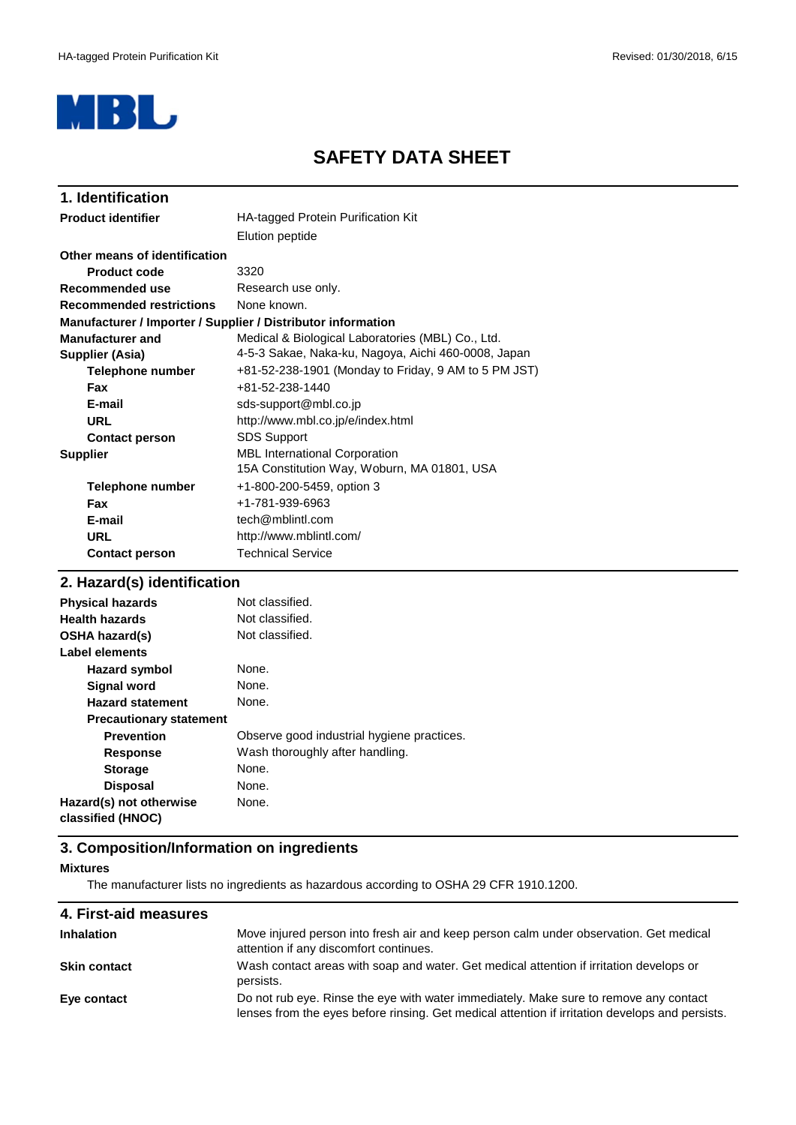

## **SAFETY DATA SHEET**

| 1. Identification               |                                                              |
|---------------------------------|--------------------------------------------------------------|
| <b>Product identifier</b>       | <b>HA-tagged Protein Purification Kit</b>                    |
|                                 | Elution peptide                                              |
| Other means of identification   |                                                              |
| <b>Product code</b>             | 3320                                                         |
| Recommended use                 | Research use only.                                           |
| <b>Recommended restrictions</b> | None known.                                                  |
|                                 | Manufacturer / Importer / Supplier / Distributor information |
| <b>Manufacturer and</b>         | Medical & Biological Laboratories (MBL) Co., Ltd.            |
| Supplier (Asia)                 | 4-5-3 Sakae, Naka-ku, Nagoya, Aichi 460-0008, Japan          |
| Telephone number                | +81-52-238-1901 (Monday to Friday, 9 AM to 5 PM JST)         |
| <b>Fax</b>                      | +81-52-238-1440                                              |
| E-mail                          | sds-support@mbl.co.jp                                        |
| URL                             | http://www.mbl.co.jp/e/index.html                            |
| <b>Contact person</b>           | <b>SDS Support</b>                                           |
| <b>Supplier</b>                 | <b>MBL International Corporation</b>                         |
|                                 | 15A Constitution Way, Woburn, MA 01801, USA                  |
| Telephone number                | +1-800-200-5459, option 3                                    |
| Fax                             | +1-781-939-6963                                              |
| E-mail                          | tech@mblintl.com                                             |
| <b>URL</b>                      | http://www.mblintl.com/                                      |
| <b>Contact person</b>           | <b>Technical Service</b>                                     |

## **2. Hazard(s) identification**

| <b>Physical hazards</b>                      | Not classified.                            |
|----------------------------------------------|--------------------------------------------|
| <b>Health hazards</b>                        | Not classified.                            |
| <b>OSHA hazard(s)</b>                        | Not classified.                            |
| Label elements                               |                                            |
| Hazard symbol                                | None.                                      |
| Signal word                                  | None.                                      |
| <b>Hazard statement</b>                      | None.                                      |
| <b>Precautionary statement</b>               |                                            |
| <b>Prevention</b>                            | Observe good industrial hygiene practices. |
| <b>Response</b>                              | Wash thoroughly after handling.            |
| <b>Storage</b>                               | None.                                      |
| <b>Disposal</b>                              | None.                                      |
| Hazard(s) not otherwise<br>classified (HNOC) | None.                                      |

#### **3. Composition/Information on ingredients**

#### **Mixtures**

The manufacturer lists no ingredients as hazardous according to OSHA 29 CFR 1910.1200.

| 4. First-aid measures |                                                                                                                                                                                          |
|-----------------------|------------------------------------------------------------------------------------------------------------------------------------------------------------------------------------------|
| <b>Inhalation</b>     | Move injured person into fresh air and keep person calm under observation. Get medical<br>attention if any discomfort continues.                                                         |
| Skin contact          | Wash contact areas with soap and water. Get medical attention if irritation develops or<br>persists.                                                                                     |
| Eye contact           | Do not rub eye. Rinse the eye with water immediately. Make sure to remove any contact<br>lenses from the eyes before rinsing. Get medical attention if irritation develops and persists. |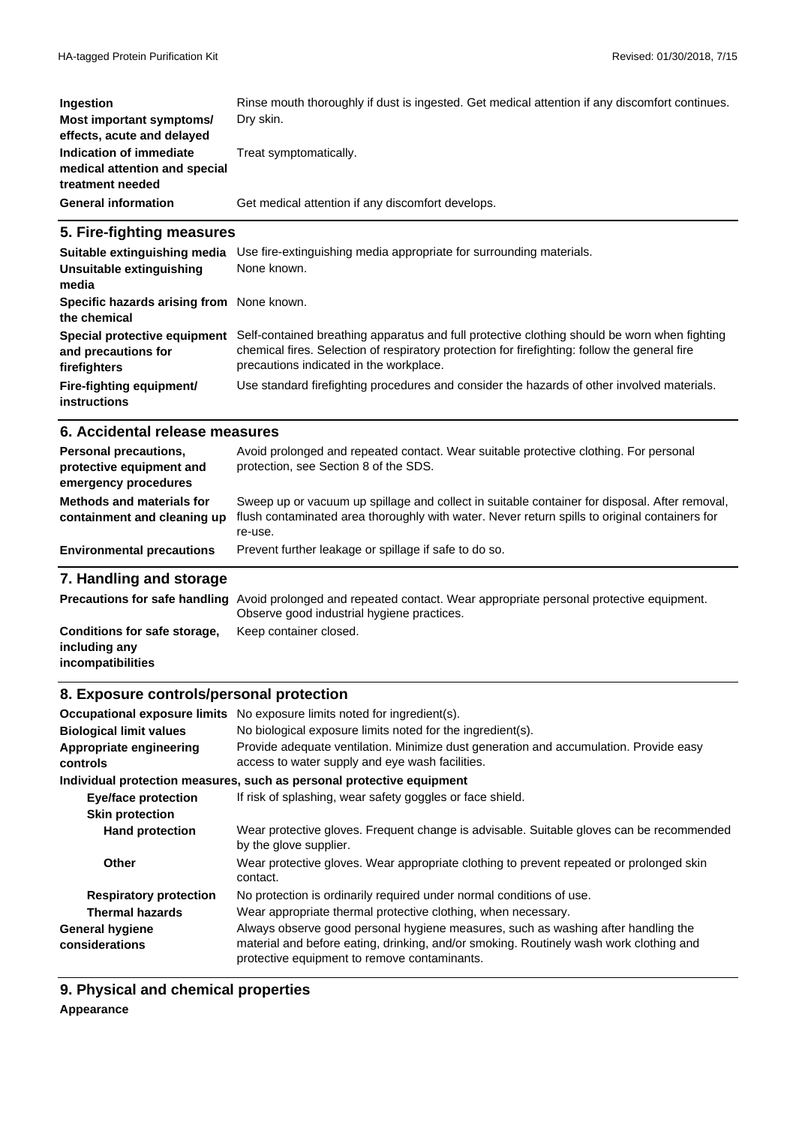| <b>Ingestion</b>                                                             | Rinse mouth thoroughly if dust is ingested. Get medical attention if any discomfort continues. |
|------------------------------------------------------------------------------|------------------------------------------------------------------------------------------------|
| Most important symptoms/<br>effects, acute and delayed                       | Dry skin.                                                                                      |
| Indication of immediate<br>medical attention and special<br>treatment needed | Treat symptomatically.                                                                         |
| <b>General information</b>                                                   | Get medical attention if any discomfort develops.                                              |

## **5. Fire-fighting measures**

| Suitable extinguishing media                                        | Use fire-extinguishing media appropriate for surrounding materials.                                                                                                                                                                      |
|---------------------------------------------------------------------|------------------------------------------------------------------------------------------------------------------------------------------------------------------------------------------------------------------------------------------|
| Unsuitable extinguishing<br>media                                   | None known.                                                                                                                                                                                                                              |
| Specific hazards arising from None known.<br>the chemical           |                                                                                                                                                                                                                                          |
| Special protective equipment<br>and precautions for<br>firefighters | Self-contained breathing apparatus and full protective clothing should be worn when fighting<br>chemical fires. Selection of respiratory protection for firefighting: follow the general fire<br>precautions indicated in the workplace. |
| Fire-fighting equipment/<br>instructions                            | Use standard firefighting procedures and consider the hazards of other involved materials.                                                                                                                                               |

#### **6. Accidental release measures**

| Personal precautions,<br>protective equipment and<br>emergency procedures | Avoid prolonged and repeated contact. Wear suitable protective clothing. For personal<br>protection, see Section 8 of the SDS.                                                                            |
|---------------------------------------------------------------------------|-----------------------------------------------------------------------------------------------------------------------------------------------------------------------------------------------------------|
| <b>Methods and materials for</b><br>containment and cleaning up           | Sweep up or vacuum up spillage and collect in suitable container for disposal. After removal,<br>flush contaminated area thoroughly with water. Never return spills to original containers for<br>re-use. |
| <b>Environmental precautions</b>                                          | Prevent further leakage or spillage if safe to do so.                                                                                                                                                     |

### **7. Handling and storage**

|                              | Precautions for safe handling Avoid prolonged and repeated contact. Wear appropriate personal protective equipment. |
|------------------------------|---------------------------------------------------------------------------------------------------------------------|
|                              | Observe good industrial hygiene practices.                                                                          |
| Conditions for safe storage, | Keep container closed.                                                                                              |
| including any                |                                                                                                                     |
| incompatibilities            |                                                                                                                     |

#### **8. Exposure controls/personal protection**

|                                          | Occupational exposure limits No exposure limits noted for ingredient(s).                                                                                                                                                    |
|------------------------------------------|-----------------------------------------------------------------------------------------------------------------------------------------------------------------------------------------------------------------------------|
| <b>Biological limit values</b>           | No biological exposure limits noted for the ingredient(s).                                                                                                                                                                  |
| Appropriate engineering<br>controls      | Provide adequate ventilation. Minimize dust generation and accumulation. Provide easy<br>access to water supply and eye wash facilities.                                                                                    |
|                                          | Individual protection measures, such as personal protective equipment                                                                                                                                                       |
| <b>Eye/face protection</b>               | If risk of splashing, wear safety goggles or face shield.                                                                                                                                                                   |
| <b>Skin protection</b>                   |                                                                                                                                                                                                                             |
| <b>Hand protection</b>                   | Wear protective gloves. Frequent change is advisable. Suitable gloves can be recommended<br>by the glove supplier.                                                                                                          |
| Other                                    | Wear protective gloves. Wear appropriate clothing to prevent repeated or prolonged skin<br>contact.                                                                                                                         |
| <b>Respiratory protection</b>            | No protection is ordinarily required under normal conditions of use.                                                                                                                                                        |
| Thermal hazards                          | Wear appropriate thermal protective clothing, when necessary.                                                                                                                                                               |
| <b>General hygiene</b><br>considerations | Always observe good personal hygiene measures, such as washing after handling the<br>material and before eating, drinking, and/or smoking. Routinely wash work clothing and<br>protective equipment to remove contaminants. |

**9. Physical and chemical properties**

#### **Appearance**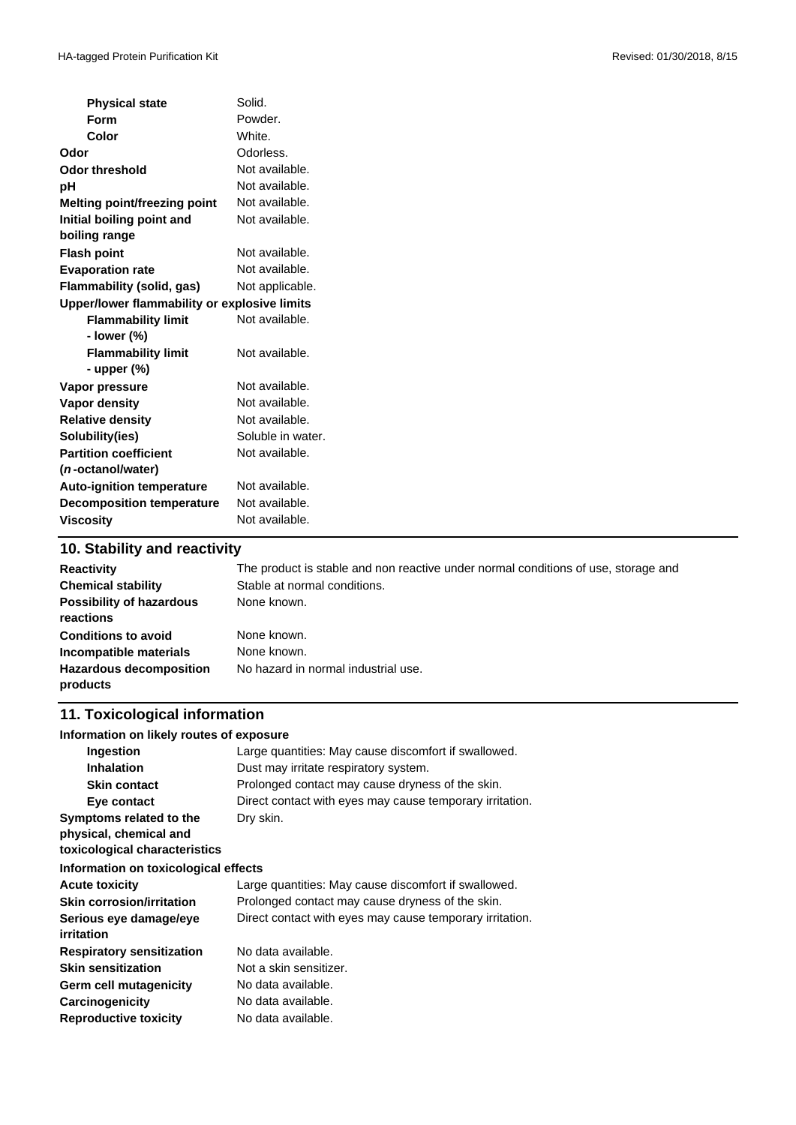| <b>Physical state</b>                        | Solid.            |
|----------------------------------------------|-------------------|
| <b>Form</b>                                  | Powder.           |
| Color                                        | White.            |
| Odor                                         | Odorless.         |
| <b>Odor threshold</b>                        | Not available.    |
| pH                                           | Not available.    |
| <b>Melting point/freezing point</b>          | Not available.    |
| Initial boiling point and                    | Not available.    |
| boiling range                                |                   |
| <b>Flash point</b>                           | Not available.    |
| <b>Evaporation rate</b>                      | Not available.    |
| <b>Flammability (solid, gas)</b>             | Not applicable.   |
| Upper/lower flammability or explosive limits |                   |
| <b>Flammability limit</b>                    | Not available.    |
| - lower (%)                                  |                   |
| <b>Flammability limit</b>                    | Not available.    |
| - upper (%)                                  |                   |
| Vapor pressure                               | Not available.    |
| Vapor density                                | Not available.    |
| <b>Relative density</b>                      | Not available.    |
| Solubility(ies)                              | Soluble in water. |
| <b>Partition coefficient</b>                 | Not available.    |
| ( <i>n</i> -octanol/water)                   |                   |
| <b>Auto-ignition temperature</b>             | Not available.    |
| <b>Decomposition temperature</b>             | Not available.    |
| <b>Viscosity</b>                             | Not available.    |
|                                              |                   |

#### **10. Stability and reactivity**

| <b>Reactivity</b><br><b>Chemical stability</b><br><b>Possibility of hazardous</b><br>reactions     | The product is stable and non reactive under normal conditions of use, storage and<br>Stable at normal conditions.<br>None known. |
|----------------------------------------------------------------------------------------------------|-----------------------------------------------------------------------------------------------------------------------------------|
| <b>Conditions to avoid</b><br>Incompatible materials<br><b>Hazardous decomposition</b><br>products | None known.<br>None known.<br>No hazard in normal industrial use.                                                                 |

### **11. Toxicological information**

#### **Information on likely routes of exposure**

| <b>Ingestion</b>                     | Large quantities: May cause discomfort if swallowed.     |  |  |
|--------------------------------------|----------------------------------------------------------|--|--|
| <b>Inhalation</b>                    | Dust may irritate respiratory system.                    |  |  |
| <b>Skin contact</b>                  | Prolonged contact may cause dryness of the skin.         |  |  |
| Eye contact                          | Direct contact with eyes may cause temporary irritation. |  |  |
| Symptoms related to the              | Dry skin.                                                |  |  |
| physical, chemical and               |                                                          |  |  |
| toxicological characteristics        |                                                          |  |  |
| Information on toxicological effects |                                                          |  |  |
| <b>Acute toxicity</b>                | Large quantities: May cause discomfort if swallowed.     |  |  |
| <b>Skin corrosion/irritation</b>     | Prolonged contact may cause dryness of the skin.         |  |  |
| Serious eye damage/eye               | Direct contact with eyes may cause temporary irritation. |  |  |
| <i>irritation</i>                    |                                                          |  |  |
| <b>Respiratory sensitization</b>     | No data available.                                       |  |  |
| <b>Skin sensitization</b>            | Not a skin sensitizer.                                   |  |  |
| Germ cell mutagenicity               | No data available.                                       |  |  |
| Carcinogenicity                      | No data available.                                       |  |  |
| <b>Reproductive toxicity</b>         | No data available.                                       |  |  |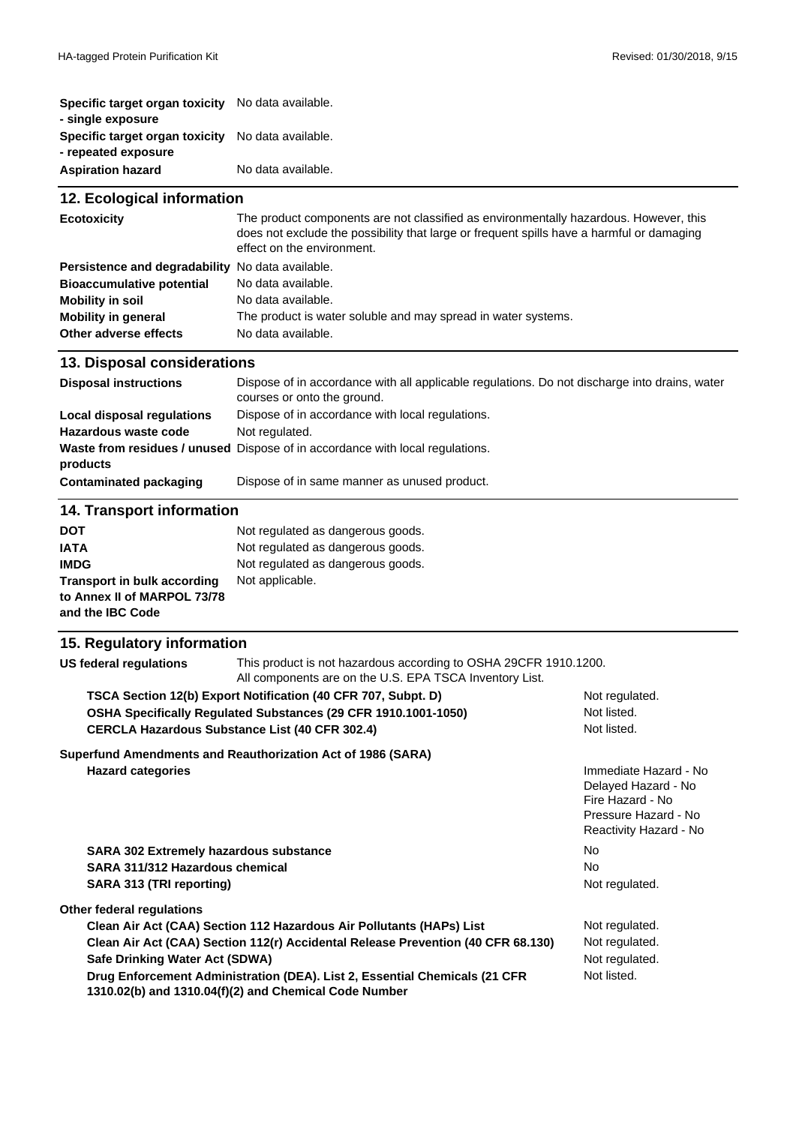| Specific target organ toxicity | No data available. |
|--------------------------------|--------------------|
| - single exposure              |                    |
| Specific target organ toxicity | No data available. |
| - repeated exposure            |                    |
| <b>Aspiration hazard</b>       | No data available. |

#### **Mobility in soil** No data available. **Mobility in general** The product is water soluble and may spread in water systems. **Other adverse effects** No data available. **12. Ecological information Ecotoxicity** The product components are not classified as environmentally hazardous. However, this does not exclude the possibility that large or frequent spills have a harmful or damaging effect on the environment. **Persistence and degradability** No data available. **Bioaccumulative potential** No data available.

#### **13. Disposal considerations**

| <b>Disposal instructions</b> | Dispose of in accordance with all applicable regulations. Do not discharge into drains, water<br>courses or onto the ground. |
|------------------------------|------------------------------------------------------------------------------------------------------------------------------|
| Local disposal regulations   | Dispose of in accordance with local regulations.                                                                             |
| Hazardous waste code         | Not regulated.                                                                                                               |
|                              | Waste from residues / unused Dispose of in accordance with local regulations.                                                |
| products                     |                                                                                                                              |
| Contaminated packaging       | Dispose of in same manner as unused product.                                                                                 |

#### **14. Transport information**

| <b>DOT</b>                         | Not regulated as dangerous goods. |
|------------------------------------|-----------------------------------|
| <b>IATA</b>                        | Not regulated as dangerous goods. |
| <b>IMDG</b>                        | Not regulated as dangerous goods. |
| <b>Transport in bulk according</b> | Not applicable.                   |
| to Annex II of MARPOL 73/78        |                                   |
| and the IBC Code                   |                                   |

#### **15. Regulatory information US federal regulations** This product is not hazardous according to OSHA 29CFR 1910.1200. All components are on the U.S. EPA TSCA Inventory List. **TSCA Section 12(b) Export Notification (40 CFR 707, Subpt. D)** Not regulated. **OSHA Specifically Regulated Substances (29 CFR 1910.1001-1050)** Not listed. **SARA 311/312 Hazardous chemical** No **SARA 313 (TRI reporting) Notice 2012 12:00 Notice 2013 12:00 Notice 2013 12:00 Notice 2013 12:00 Notice 2013 12:00 Notice 2013 12:00 Notice 2014 12:00 Notice 2014 12:00 Notice 2014 12:00 Notice 2014 12:00 Notice 2014 12 Other federal regulations Clean Air Act (CAA) Section 112 Hazardous Air Pollutants (HAPs) List Not regulated.** CERCLA Hazardous Substance List (40 CFR 302.4) <br>
Not listed. **Superfund Amendments and Reauthorization Act of 1986 (SARA) Hazard categories** Immediate Hazard - No Delayed Hazard - No Fire Hazard - No Pressure Hazard - No Reactivity Hazard - No **SARA 302 Extremely hazardous substance No analyzing the COV COVID-NO** No Clean Air Act (CAA) Section 112(r) Accidental Release Prevention (40 CFR 68.130) Not regulated. **Safe Drinking Water Act (SDWA)** Not regulated. **Drug Enforcement Administration (DEA). List 2, Essential Chemicals (21 CFR 1310.02(b) and 1310.04(f)(2) and Chemical Code Number** Not listed.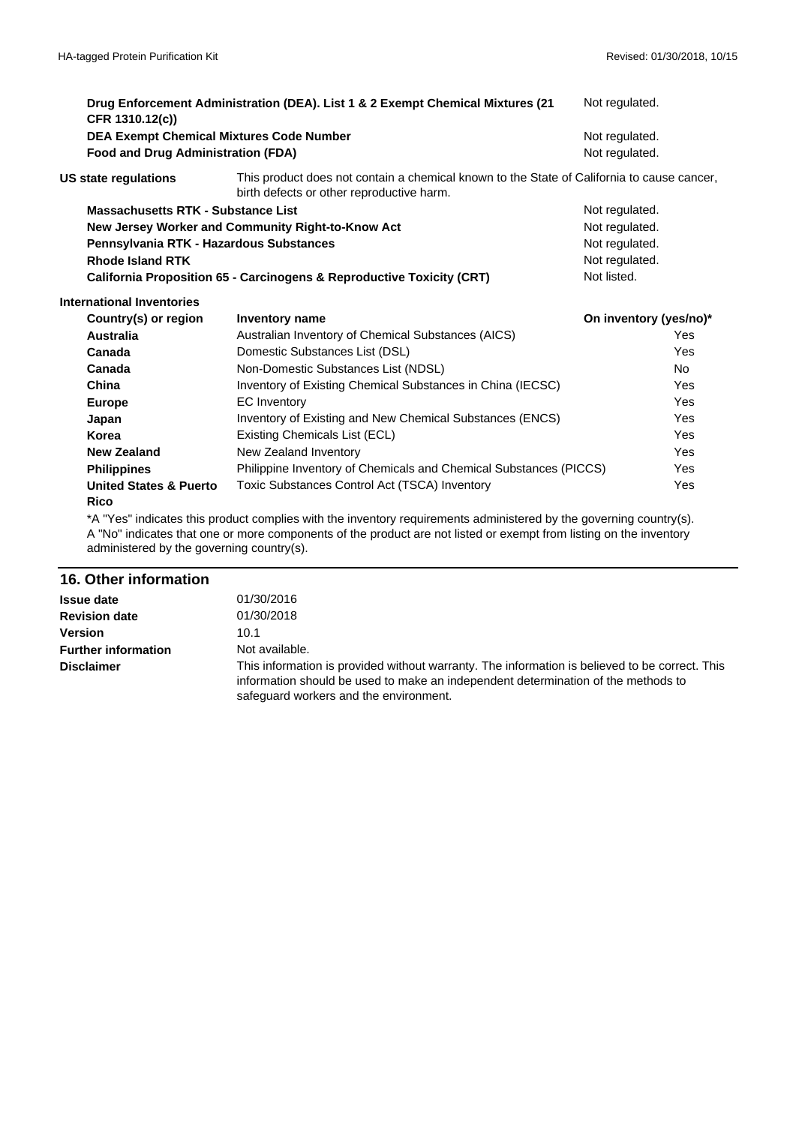|  | CFR 1310.12(c))                                                                              | Drug Enforcement Administration (DEA). List 1 & 2 Exempt Chemical Mixtures (21                                                          | Not regulated.         |            |
|--|----------------------------------------------------------------------------------------------|-----------------------------------------------------------------------------------------------------------------------------------------|------------------------|------------|
|  | <b>DEA Exempt Chemical Mixtures Code Number</b><br><b>Food and Drug Administration (FDA)</b> |                                                                                                                                         | Not regulated.         |            |
|  |                                                                                              |                                                                                                                                         | Not regulated.         |            |
|  | US state regulations                                                                         | This product does not contain a chemical known to the State of California to cause cancer,<br>birth defects or other reproductive harm. |                        |            |
|  | <b>Massachusetts RTK - Substance List</b>                                                    |                                                                                                                                         | Not regulated.         |            |
|  | New Jersey Worker and Community Right-to-Know Act                                            |                                                                                                                                         | Not regulated.         |            |
|  | Pennsylvania RTK - Hazardous Substances                                                      |                                                                                                                                         | Not regulated.         |            |
|  | <b>Rhode Island RTK</b>                                                                      |                                                                                                                                         | Not regulated.         |            |
|  |                                                                                              | California Proposition 65 - Carcinogens & Reproductive Toxicity (CRT)                                                                   | Not listed.            |            |
|  | <b>International Inventories</b>                                                             |                                                                                                                                         |                        |            |
|  | Country(s) or region                                                                         | <b>Inventory name</b>                                                                                                                   | On inventory (yes/no)* |            |
|  | <b>Australia</b>                                                                             | Australian Inventory of Chemical Substances (AICS)                                                                                      |                        | Yes        |
|  | Canada                                                                                       | Domestic Substances List (DSL)                                                                                                          |                        | Yes        |
|  | Canada                                                                                       | Non-Domestic Substances List (NDSL)                                                                                                     |                        | No.        |
|  | China                                                                                        | Inventory of Existing Chemical Substances in China (IECSC)                                                                              |                        | <b>Yes</b> |
|  | <b>Europe</b>                                                                                | <b>EC</b> Inventory                                                                                                                     |                        | Yes        |
|  | Japan                                                                                        | Inventory of Existing and New Chemical Substances (ENCS)                                                                                |                        | Yes        |
|  | Korea                                                                                        | Existing Chemicals List (ECL)                                                                                                           |                        | <b>Yes</b> |
|  | <b>New Zealand</b>                                                                           | New Zealand Inventory                                                                                                                   |                        | <b>Yes</b> |
|  | <b>Philippines</b>                                                                           | Philippine Inventory of Chemicals and Chemical Substances (PICCS)                                                                       |                        | Yes        |
|  | <b>United States &amp; Puerto</b><br><b>Rico</b>                                             | Toxic Substances Control Act (TSCA) Inventory                                                                                           |                        | Yes        |

\*A "Yes" indicates this product complies with the inventory requirements administered by the governing country(s). A "No" indicates that one or more components of the product are not listed or exempt from listing on the inventory administered by the governing country(s).

#### **16. Other information**

| <b>Issue date</b>          | 01/30/2016                                                                                                                                                                                                                    |
|----------------------------|-------------------------------------------------------------------------------------------------------------------------------------------------------------------------------------------------------------------------------|
| <b>Revision date</b>       | 01/30/2018                                                                                                                                                                                                                    |
| <b>Version</b>             | 10.1                                                                                                                                                                                                                          |
| <b>Further information</b> | Not available.                                                                                                                                                                                                                |
| <b>Disclaimer</b>          | This information is provided without warranty. The information is believed to be correct. This<br>information should be used to make an independent determination of the methods to<br>safequard workers and the environment. |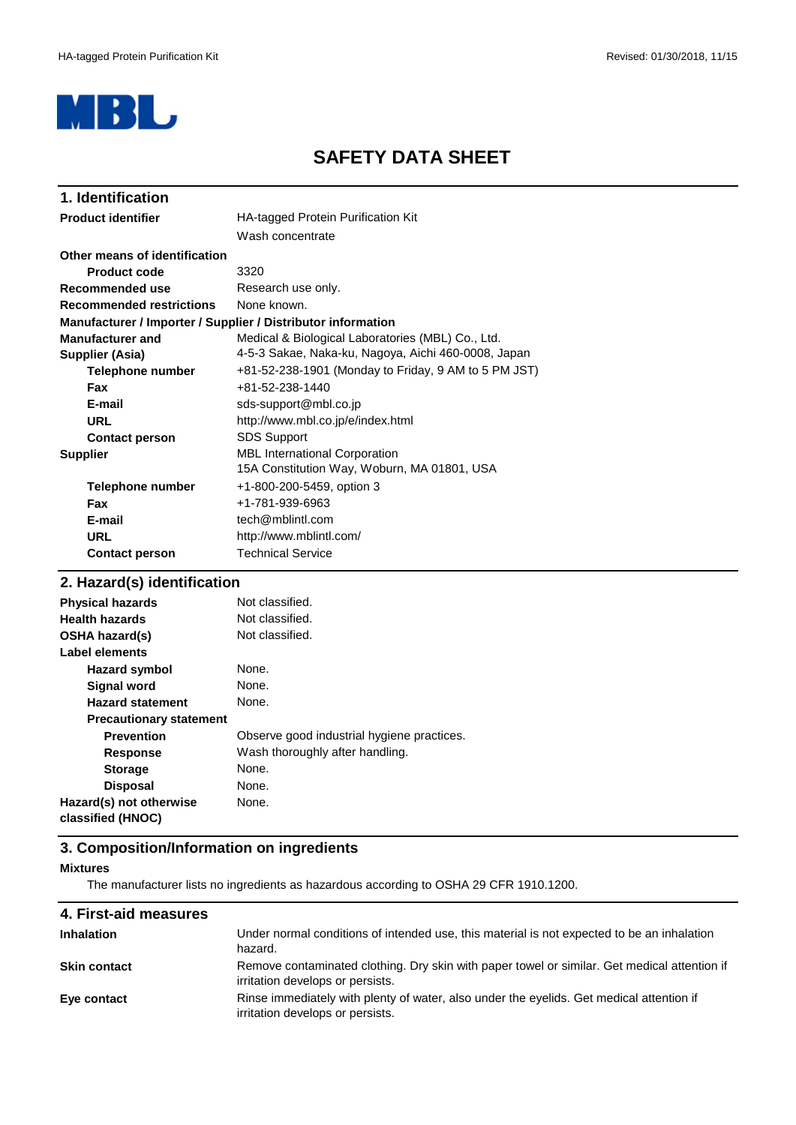

# **SAFETY DATA SHEET**

| 1. Identification               |                                                              |
|---------------------------------|--------------------------------------------------------------|
| <b>Product identifier</b>       | HA-tagged Protein Purification Kit                           |
|                                 | Wash concentrate                                             |
| Other means of identification   |                                                              |
| <b>Product code</b>             | 3320                                                         |
| Recommended use                 | Research use only.                                           |
| <b>Recommended restrictions</b> | None known.                                                  |
|                                 | Manufacturer / Importer / Supplier / Distributor information |
| <b>Manufacturer and</b>         | Medical & Biological Laboratories (MBL) Co., Ltd.            |
| Supplier (Asia)                 | 4-5-3 Sakae, Naka-ku, Nagoya, Aichi 460-0008, Japan          |
| Telephone number                | +81-52-238-1901 (Monday to Friday, 9 AM to 5 PM JST)         |
| <b>Fax</b>                      | +81-52-238-1440                                              |
| E-mail                          | sds-support@mbl.co.jp                                        |
| URL                             | http://www.mbl.co.jp/e/index.html                            |
| <b>Contact person</b>           | <b>SDS Support</b>                                           |
| <b>Supplier</b>                 | <b>MBL International Corporation</b>                         |
|                                 | 15A Constitution Way, Woburn, MA 01801, USA                  |
| Telephone number                | +1-800-200-5459, option 3                                    |
| <b>Fax</b>                      | +1-781-939-6963                                              |
| E-mail                          | tech@mblintl.com                                             |
| <b>URL</b>                      | http://www.mblintl.com/                                      |
| <b>Contact person</b>           | <b>Technical Service</b>                                     |

## **2. Hazard(s) identification**

| <b>Physical hazards</b>                      | Not classified.                            |
|----------------------------------------------|--------------------------------------------|
| <b>Health hazards</b>                        | Not classified.                            |
| <b>OSHA hazard(s)</b>                        | Not classified.                            |
| Label elements                               |                                            |
| <b>Hazard symbol</b>                         | None.                                      |
| <b>Signal word</b>                           | None.                                      |
| <b>Hazard statement</b>                      | None.                                      |
| <b>Precautionary statement</b>               |                                            |
| <b>Prevention</b>                            | Observe good industrial hygiene practices. |
| <b>Response</b>                              | Wash thoroughly after handling.            |
| <b>Storage</b>                               | None.                                      |
| <b>Disposal</b>                              | None.                                      |
| Hazard(s) not otherwise<br>classified (HNOC) | None.                                      |

#### **3. Composition/Information on ingredients**

#### **Mixtures**

The manufacturer lists no ingredients as hazardous according to OSHA 29 CFR 1910.1200.

| Under normal conditions of intended use, this material is not expected to be an inhalation<br>hazard.                            |
|----------------------------------------------------------------------------------------------------------------------------------|
| Remove contaminated clothing. Dry skin with paper towel or similar. Get medical attention if<br>irritation develops or persists. |
| Rinse immediately with plenty of water, also under the eyelids. Get medical attention if<br>irritation develops or persists.     |
|                                                                                                                                  |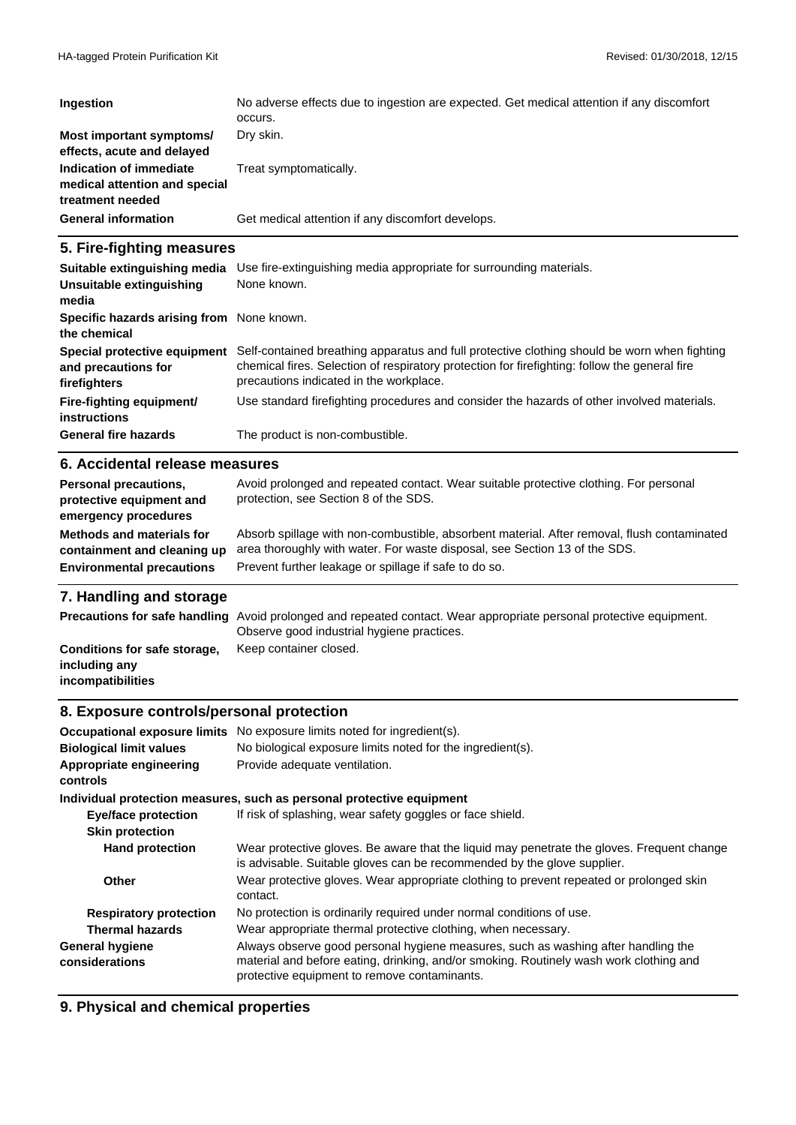| Ingestion                                                                    | No adverse effects due to ingestion are expected. Get medical attention if any discomfort<br>occurs. |
|------------------------------------------------------------------------------|------------------------------------------------------------------------------------------------------|
| Most important symptoms/<br>effects, acute and delayed                       | Dry skin.                                                                                            |
| Indication of immediate<br>medical attention and special<br>treatment needed | Treat symptomatically.                                                                               |
| <b>General information</b>                                                   | Get medical attention if any discomfort develops.                                                    |

## **5. Fire-fighting measures**

| Suitable extinguishing media<br>Unsuitable extinguishing<br>media   | Use fire-extinguishing media appropriate for surrounding materials.<br>None known.                                                                                                                                                       |
|---------------------------------------------------------------------|------------------------------------------------------------------------------------------------------------------------------------------------------------------------------------------------------------------------------------------|
| Specific hazards arising from None known.<br>the chemical           |                                                                                                                                                                                                                                          |
| Special protective equipment<br>and precautions for<br>firefighters | Self-contained breathing apparatus and full protective clothing should be worn when fighting<br>chemical fires. Selection of respiratory protection for firefighting: follow the general fire<br>precautions indicated in the workplace. |
| Fire-fighting equipment/<br><b>instructions</b>                     | Use standard firefighting procedures and consider the hazards of other involved materials.                                                                                                                                               |
| <b>General fire hazards</b>                                         | The product is non-combustible.                                                                                                                                                                                                          |

#### **6. Accidental release measures**

| Personal precautions,<br>protective equipment and<br>emergency procedures | Avoid prolonged and repeated contact. Wear suitable protective clothing. For personal<br>protection, see Section 8 of the SDS. |
|---------------------------------------------------------------------------|--------------------------------------------------------------------------------------------------------------------------------|
| <b>Methods and materials for</b>                                          | Absorb spillage with non-combustible, absorbent material. After removal, flush contaminated                                    |
| containment and cleaning up                                               | area thoroughly with water. For waste disposal, see Section 13 of the SDS.                                                     |
| <b>Environmental precautions</b>                                          | Prevent further leakage or spillage if safe to do so.                                                                          |

## **7. Handling and storage**

|                                    | Precautions for safe handling Avoid prolonged and repeated contact. Wear appropriate personal protective equipment.<br>Observe good industrial hygiene practices. |
|------------------------------------|-------------------------------------------------------------------------------------------------------------------------------------------------------------------|
| Conditions for safe storage,       | Keep container closed.                                                                                                                                            |
| including any<br>incompatibilities |                                                                                                                                                                   |

#### **8. Exposure controls/personal protection**

| <b>Occupational exposure limits</b>      | No exposure limits noted for ingredient(s).                                                                                                                                                                                 |  |
|------------------------------------------|-----------------------------------------------------------------------------------------------------------------------------------------------------------------------------------------------------------------------------|--|
| <b>Biological limit values</b>           | No biological exposure limits noted for the ingredient(s).                                                                                                                                                                  |  |
| Appropriate engineering<br>controls      | Provide adequate ventilation.                                                                                                                                                                                               |  |
|                                          | Individual protection measures, such as personal protective equipment                                                                                                                                                       |  |
| <b>Eye/face protection</b>               | If risk of splashing, wear safety goggles or face shield.                                                                                                                                                                   |  |
| <b>Skin protection</b>                   |                                                                                                                                                                                                                             |  |
| <b>Hand protection</b>                   | Wear protective gloves. Be aware that the liquid may penetrate the gloves. Frequent change<br>is advisable. Suitable gloves can be recommended by the glove supplier.                                                       |  |
| Other                                    | Wear protective gloves. Wear appropriate clothing to prevent repeated or prolonged skin<br>contact.                                                                                                                         |  |
| <b>Respiratory protection</b>            | No protection is ordinarily required under normal conditions of use.                                                                                                                                                        |  |
| <b>Thermal hazards</b>                   | Wear appropriate thermal protective clothing, when necessary.                                                                                                                                                               |  |
| <b>General hygiene</b><br>considerations | Always observe good personal hygiene measures, such as washing after handling the<br>material and before eating, drinking, and/or smoking. Routinely wash work clothing and<br>protective equipment to remove contaminants. |  |

### **9. Physical and chemical properties**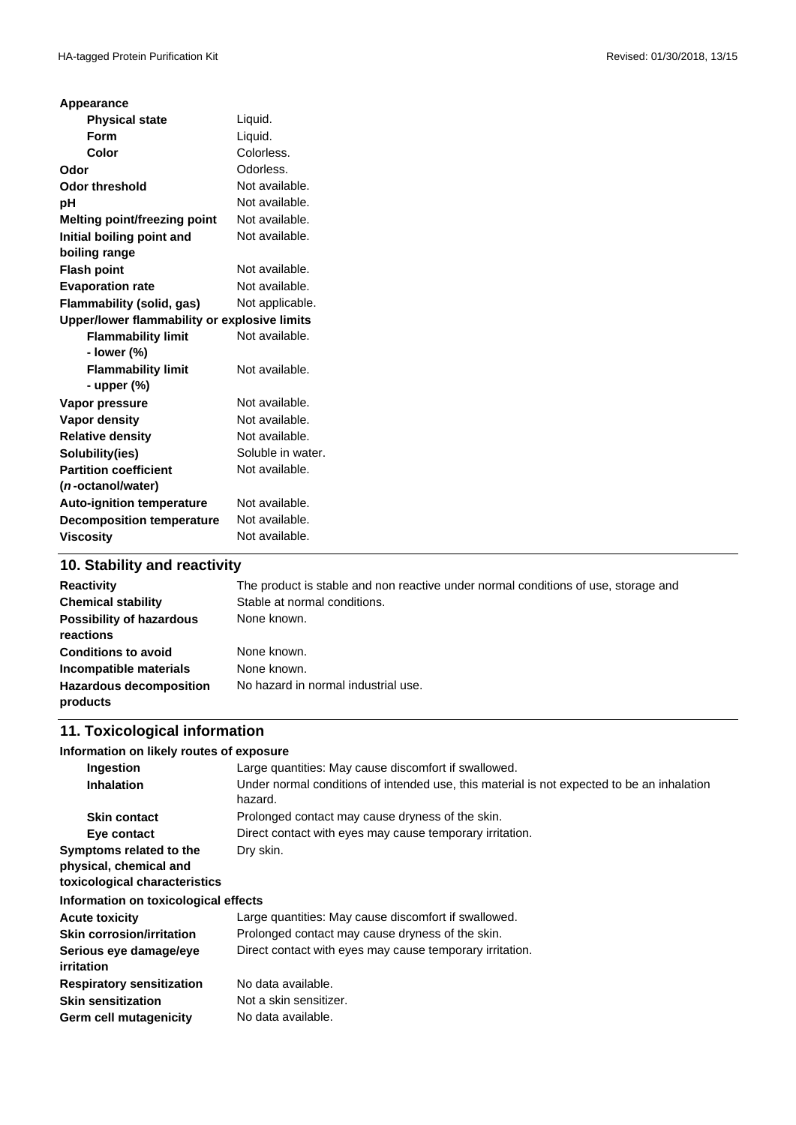| Appearance                                   |                   |  |
|----------------------------------------------|-------------------|--|
| <b>Physical state</b>                        | Liquid.           |  |
| <b>Form</b>                                  | Liquid.           |  |
| Color                                        | Colorless.        |  |
| Odor                                         | Odorless.         |  |
| <b>Odor threshold</b>                        | Not available.    |  |
| pH                                           | Not available.    |  |
| Melting point/freezing point                 | Not available.    |  |
| Initial boiling point and                    | Not available.    |  |
| boiling range                                |                   |  |
| <b>Flash point</b>                           | Not available.    |  |
| <b>Evaporation rate</b>                      | Not available.    |  |
| Flammability (solid, gas)                    | Not applicable.   |  |
| Upper/lower flammability or explosive limits |                   |  |
| <b>Flammability limit</b>                    | Not available.    |  |
| - lower (%)                                  |                   |  |
| <b>Flammability limit</b>                    | Not available.    |  |
| - upper (%)                                  |                   |  |
| Vapor pressure                               | Not available.    |  |
| <b>Vapor density</b>                         | Not available.    |  |
| <b>Relative density</b>                      | Not available.    |  |
| Solubility(ies)                              | Soluble in water. |  |
| <b>Partition coefficient</b>                 | Not available.    |  |
| ( <i>n</i> -octanol/water)                   |                   |  |
| <b>Auto-ignition temperature</b>             | Not available.    |  |
| <b>Decomposition temperature</b>             | Not available.    |  |
| <b>Viscosity</b>                             | Not available.    |  |
|                                              |                   |  |

### **10. Stability and reactivity**

| <b>Reactivity</b><br><b>Chemical stability</b><br><b>Possibility of hazardous</b><br>reactions     | The product is stable and non reactive under normal conditions of use, storage and<br>Stable at normal conditions.<br>None known. |
|----------------------------------------------------------------------------------------------------|-----------------------------------------------------------------------------------------------------------------------------------|
| <b>Conditions to avoid</b><br>Incompatible materials<br><b>Hazardous decomposition</b><br>products | None known.<br>None known.<br>No hazard in normal industrial use.                                                                 |

### **11. Toxicological information**

#### **Information on likely routes of exposure**

| Ingestion                                                                          | Large quantities: May cause discomfort if swallowed.                                                  |  |
|------------------------------------------------------------------------------------|-------------------------------------------------------------------------------------------------------|--|
| <b>Inhalation</b>                                                                  | Under normal conditions of intended use, this material is not expected to be an inhalation<br>hazard. |  |
| <b>Skin contact</b>                                                                | Prolonged contact may cause dryness of the skin.                                                      |  |
| Eye contact                                                                        | Direct contact with eyes may cause temporary irritation.                                              |  |
| Symptoms related to the<br>physical, chemical and<br>toxicological characteristics | Dry skin.                                                                                             |  |
| Information on toxicological effects                                               |                                                                                                       |  |
| <b>Acute toxicity</b>                                                              | Large quantities: May cause discomfort if swallowed.                                                  |  |
| <b>Skin corrosion/irritation</b>                                                   | Prolonged contact may cause dryness of the skin.                                                      |  |
| Serious eye damage/eye<br><i>irritation</i>                                        | Direct contact with eyes may cause temporary irritation.                                              |  |
| <b>Respiratory sensitization</b>                                                   | No data available.                                                                                    |  |
| <b>Skin sensitization</b>                                                          | Not a skin sensitizer.                                                                                |  |
| Germ cell mutagenicity                                                             | No data available.                                                                                    |  |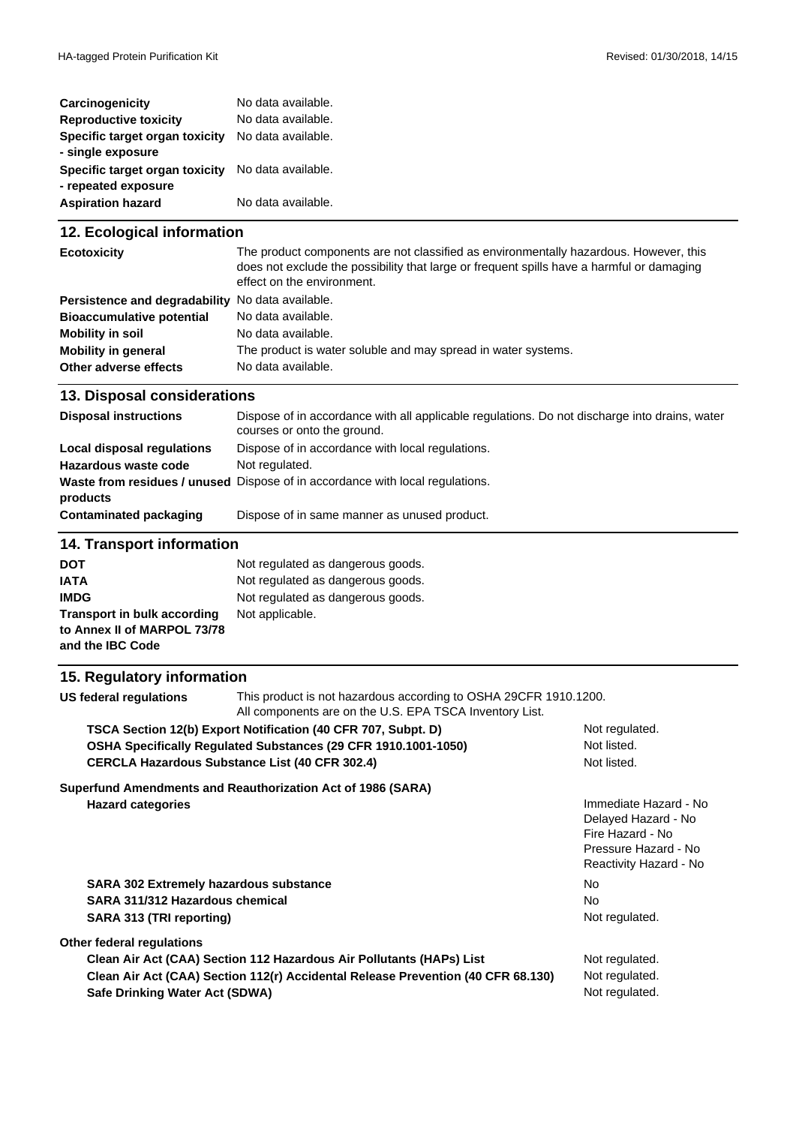| Carcinogenicity                                       | No data available. |
|-------------------------------------------------------|--------------------|
| <b>Reproductive toxicity</b>                          | No data available. |
| Specific target organ toxicity<br>- single exposure   | No data available. |
| Specific target organ toxicity<br>- repeated exposure | No data available. |
| <b>Aspiration hazard</b>                              | No data available. |

## **12. Ecological information**

| <b>Ecotoxicity</b>                               | The product components are not classified as environmentally hazardous. However, this<br>does not exclude the possibility that large or frequent spills have a harmful or damaging<br>effect on the environment. |  |
|--------------------------------------------------|------------------------------------------------------------------------------------------------------------------------------------------------------------------------------------------------------------------|--|
| Persistence and degradability No data available. |                                                                                                                                                                                                                  |  |
| <b>Bioaccumulative potential</b>                 | No data available.                                                                                                                                                                                               |  |
| Mobility in soil                                 | No data available.                                                                                                                                                                                               |  |
| <b>Mobility in general</b>                       | The product is water soluble and may spread in water systems.                                                                                                                                                    |  |
| Other adverse effects                            | No data available.                                                                                                                                                                                               |  |

## **13. Disposal considerations**

| <b>Disposal instructions</b>      | Dispose of in accordance with all applicable regulations. Do not discharge into drains, water<br>courses or onto the ground. |  |
|-----------------------------------|------------------------------------------------------------------------------------------------------------------------------|--|
| <b>Local disposal regulations</b> | Dispose of in accordance with local regulations.                                                                             |  |
| Hazardous waste code              | Not regulated.                                                                                                               |  |
| products                          | <b>Waste from residues / unused</b> Dispose of in accordance with local regulations.                                         |  |
| <b>Contaminated packaging</b>     | Dispose of in same manner as unused product.                                                                                 |  |
| <b>14. Transport information</b>  |                                                                                                                              |  |

| <b>DOT</b>                  | Not regulated as dangerous goods. |
|-----------------------------|-----------------------------------|
| <b>IATA</b>                 | Not regulated as dangerous goods. |
| <b>IMDG</b>                 | Not regulated as dangerous goods. |
| Transport in bulk according | Not applicable.                   |
| to Annex II of MARPOL 73/78 |                                   |
| and the IBC Code            |                                   |

## **15. Regulatory information**

| US federal regulations                                                                                                          | This product is not hazardous according to OSHA 29CFR 1910.1200.<br>All components are on the U.S. EPA TSCA Inventory List. |                                                                                                                    |
|---------------------------------------------------------------------------------------------------------------------------------|-----------------------------------------------------------------------------------------------------------------------------|--------------------------------------------------------------------------------------------------------------------|
| TSCA Section 12(b) Export Notification (40 CFR 707, Subpt. D)<br>OSHA Specifically Regulated Substances (29 CFR 1910.1001-1050) |                                                                                                                             | Not regulated.<br>Not listed.                                                                                      |
|                                                                                                                                 |                                                                                                                             |                                                                                                                    |
|                                                                                                                                 | Superfund Amendments and Reauthorization Act of 1986 (SARA)                                                                 |                                                                                                                    |
| <b>Hazard categories</b>                                                                                                        |                                                                                                                             | Immediate Hazard - No<br>Delayed Hazard - No<br>Fire Hazard - No<br>Pressure Hazard - No<br>Reactivity Hazard - No |
| <b>SARA 302 Extremely hazardous substance</b>                                                                                   |                                                                                                                             | No.                                                                                                                |
| SARA 311/312 Hazardous chemical                                                                                                 |                                                                                                                             | No.                                                                                                                |
| SARA 313 (TRI reporting)                                                                                                        |                                                                                                                             | Not regulated.                                                                                                     |
| Other federal regulations                                                                                                       |                                                                                                                             |                                                                                                                    |
| Clean Air Act (CAA) Section 112 Hazardous Air Pollutants (HAPs) List                                                            |                                                                                                                             | Not regulated.                                                                                                     |
| Clean Air Act (CAA) Section 112(r) Accidental Release Prevention (40 CFR 68.130)                                                |                                                                                                                             | Not regulated.                                                                                                     |
| Safe Drinking Water Act (SDWA)                                                                                                  |                                                                                                                             | Not regulated.                                                                                                     |
|                                                                                                                                 |                                                                                                                             |                                                                                                                    |